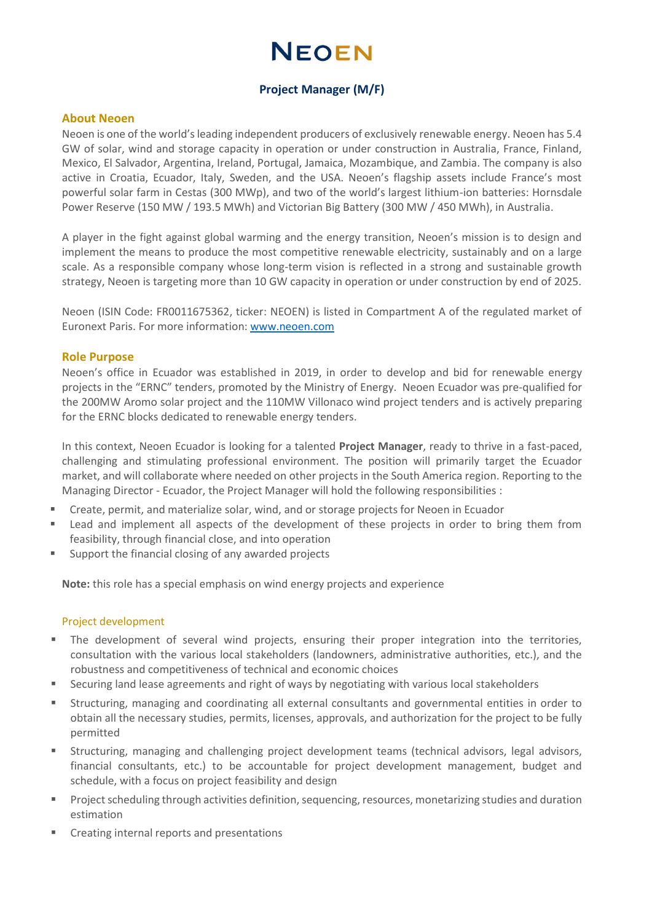# **NFOFN**

# **Project Manager (M/F)**

#### **About Neoen**

Neoen is one of the world's leading independent producers of exclusively renewable energy. Neoen has 5.4 GW of solar, wind and storage capacity in operation or under construction in Australia, France, Finland, Mexico, El Salvador, Argentina, Ireland, Portugal, Jamaica, Mozambique, and Zambia. The company is also active in Croatia, Ecuador, Italy, Sweden, and the USA. Neoen's flagship assets include France's most powerful solar farm in Cestas (300 MWp), and two of the world's largest lithium-ion batteries: Hornsdale Power Reserve (150 MW / 193.5 MWh) and Victorian Big Battery (300 MW / 450 MWh), in Australia.

A player in the fight against global warming and the energy transition, Neoen's mission is to design and implement the means to produce the most competitive renewable electricity, sustainably and on a large scale. As a responsible company whose long-term vision is reflected in a strong and sustainable growth strategy, Neoen is targeting more than 10 GW capacity in operation or under construction by end of 2025.

Neoen (ISIN Code: FR0011675362, ticker: NEOEN) is listed in Compartment A of the regulated market of Euronext Paris. For more information[: www.neoen.com](www.neoen.com)

### **Role Purpose**

Neoen's office in Ecuador was established in 2019, in order to develop and bid for renewable energy projects in the "ERNC" tenders, promoted by the Ministry of Energy. Neoen Ecuador was pre-qualified for the 200MW Aromo solar project and the 110MW Villonaco wind project tenders and is actively preparing for the ERNC blocks dedicated to renewable energy tenders.

In this context, Neoen Ecuador is looking for a talented **Project Manager**, ready to thrive in a fast-paced, challenging and stimulating professional environment. The position will primarily target the Ecuador market, and will collaborate where needed on other projects in the South America region. Reporting to the Managing Director - Ecuador, the Project Manager will hold the following responsibilities :

- Create, permit, and materialize solar, wind, and or storage projects for Neoen in Ecuador
- Lead and implement all aspects of the development of these projects in order to bring them from feasibility, through financial close, and into operation
- Support the financial closing of any awarded projects

**Note:** this role has a special emphasis on wind energy projects and experience

#### Project development

- The development of several wind projects, ensuring their proper integration into the territories, consultation with the various local stakeholders (landowners, administrative authorities, etc.), and the robustness and competitiveness of technical and economic choices
- Securing land lease agreements and right of ways by negotiating with various local stakeholders
- Structuring, managing and coordinating all external consultants and governmental entities in order to obtain all the necessary studies, permits, licenses, approvals, and authorization for the project to be fully permitted
- Structuring, managing and challenging project development teams (technical advisors, legal advisors, financial consultants, etc.) to be accountable for project development management, budget and schedule, with a focus on project feasibility and design
- Project scheduling through activities definition, sequencing, resources, monetarizing studies and duration estimation
- Creating internal reports and presentations